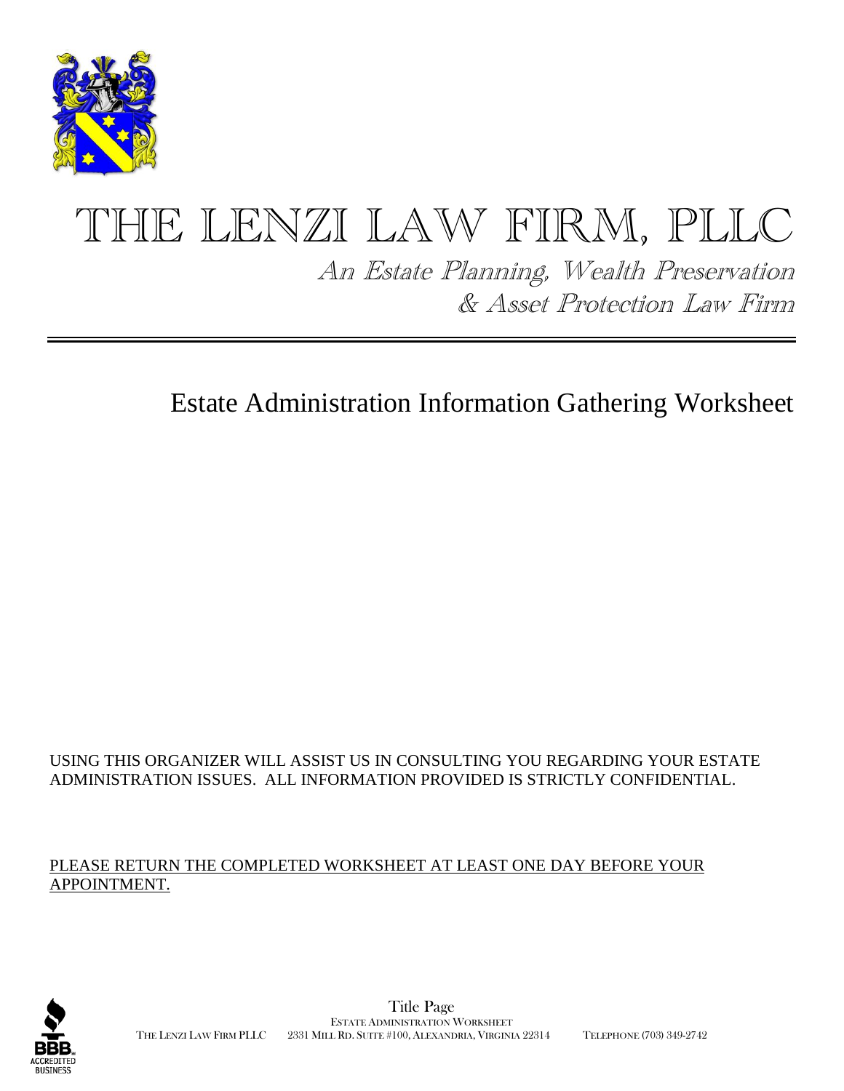

# THE LENZI LAW FIRM, PLLC

An Estate Planning, Wealth Preservation & Asset Protection Law Firm

# Estate Administration Information Gathering Worksheet

#### USING THIS ORGANIZER WILL ASSIST US IN CONSULTING YOU REGARDING YOUR ESTATE ADMINISTRATION ISSUES. ALL INFORMATION PROVIDED IS STRICTLY CONFIDENTIAL.

#### PLEASE RETURN THE COMPLETED WORKSHEET AT LEAST ONE DAY BEFORE YOUR APPOINTMENT.

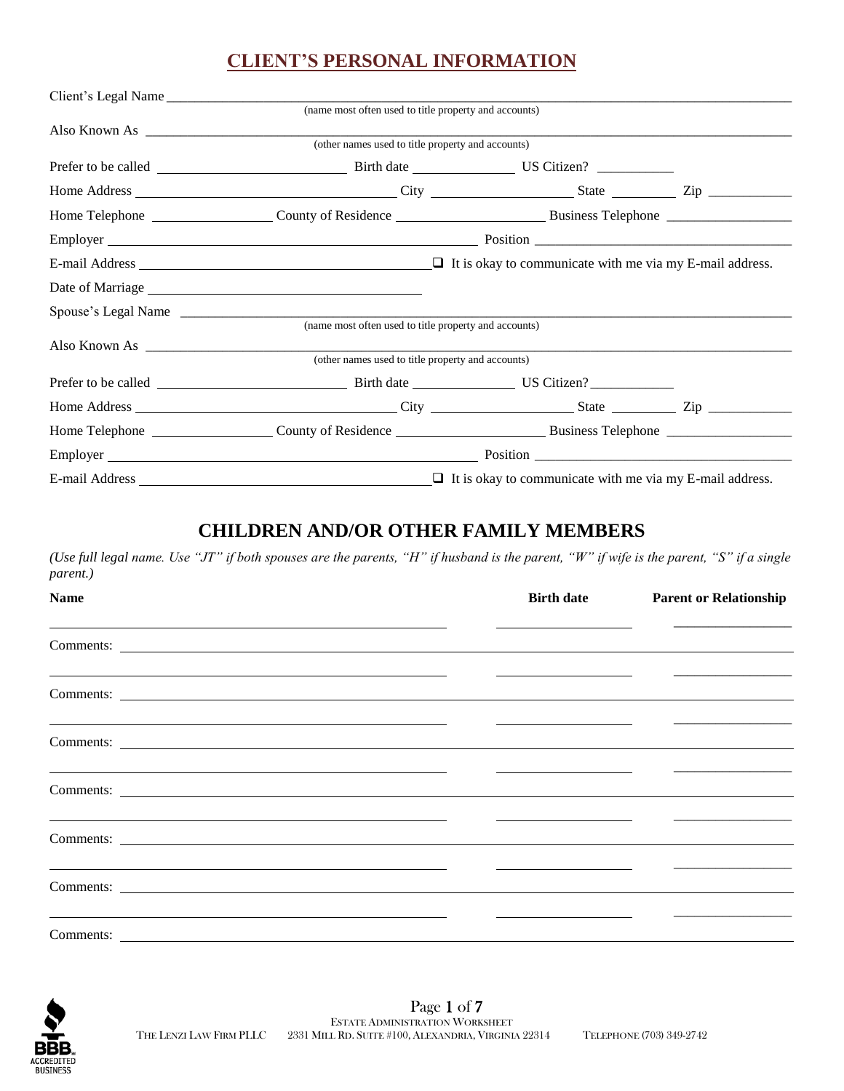# **CLIENT'S PERSONAL INFORMATION**

| Client's Legal Name |                                                                                |  |
|---------------------|--------------------------------------------------------------------------------|--|
|                     | (name most often used to title property and accounts)                          |  |
|                     | Also Known As                                                                  |  |
|                     | (other names used to title property and accounts)                              |  |
|                     |                                                                                |  |
|                     |                                                                                |  |
|                     |                                                                                |  |
|                     |                                                                                |  |
|                     | E-mail Address $\Box$ It is okay to communicate with me via my E-mail address. |  |
|                     |                                                                                |  |
|                     |                                                                                |  |
|                     | (name most often used to title property and accounts)                          |  |
|                     | Also Known As                                                                  |  |
|                     | (other names used to title property and accounts)                              |  |
|                     |                                                                                |  |
|                     |                                                                                |  |
|                     |                                                                                |  |
|                     |                                                                                |  |
|                     | E-mail Address $\Box$ It is okay to communicate with me via my E-mail address. |  |

#### **CHILDREN AND/OR OTHER FAMILY MEMBERS**

*(Use full legal name. Use "JT" if both spouses are the parents, "H" if husband is the parent, "W" if wife is the parent, "S" if a single parent.)*

| <b>Name</b>                                                                                                           | <b>Birth date</b>                                                               | <b>Parent or Relationship</b>                                                                                         |
|-----------------------------------------------------------------------------------------------------------------------|---------------------------------------------------------------------------------|-----------------------------------------------------------------------------------------------------------------------|
|                                                                                                                       |                                                                                 |                                                                                                                       |
| <u> 1989 - Johann Barn, mars et al. 1989 - Anna ann an Carl an Carl ann an t-Alban ann an t-Alban ann an t-Alban</u>  |                                                                                 |                                                                                                                       |
| <u> 1989 - Johann Stoff, amerikansk politiker (* 1908)</u>                                                            |                                                                                 | <u> 1989 - Jan Bernard Bernard, mangang pada pada 1990 - pada pada 1991 - pada pada 1991 - pada pada pada 1991 -</u>  |
| <u> 1989 - Johann Stoff, amerikansk politiker (* 1908)</u><br>Comments:                                               |                                                                                 |                                                                                                                       |
| <u> 1980 - Jan Samuel Barbara, martin da shekarar 1980 - Andrea Samuel Barbara, mashrida a tsarinin da shekara</u>    |                                                                                 | <u> 1989 - Jan Barbarat, manazarta da kasas da shekara 1989 - An an Indonesia.</u>                                    |
| <u> 1999 - Johann Barn, mars and de Branch Barn, mars and de Branch Barn, mars and de Branch Barn, mars and de Br</u> |                                                                                 | <u> 1990 - Jan Barat, politik eta politik eta politik eta politik eta politik eta politik eta politik eta politik</u> |
| <u> 1980 - Jan Samuel Barbara, martin da shekarar 1980 - Andrea Samuel Barbara, mashrida a tsarinin da shekara</u>    | the contract of the contract of the contract of the contract of the contract of |                                                                                                                       |

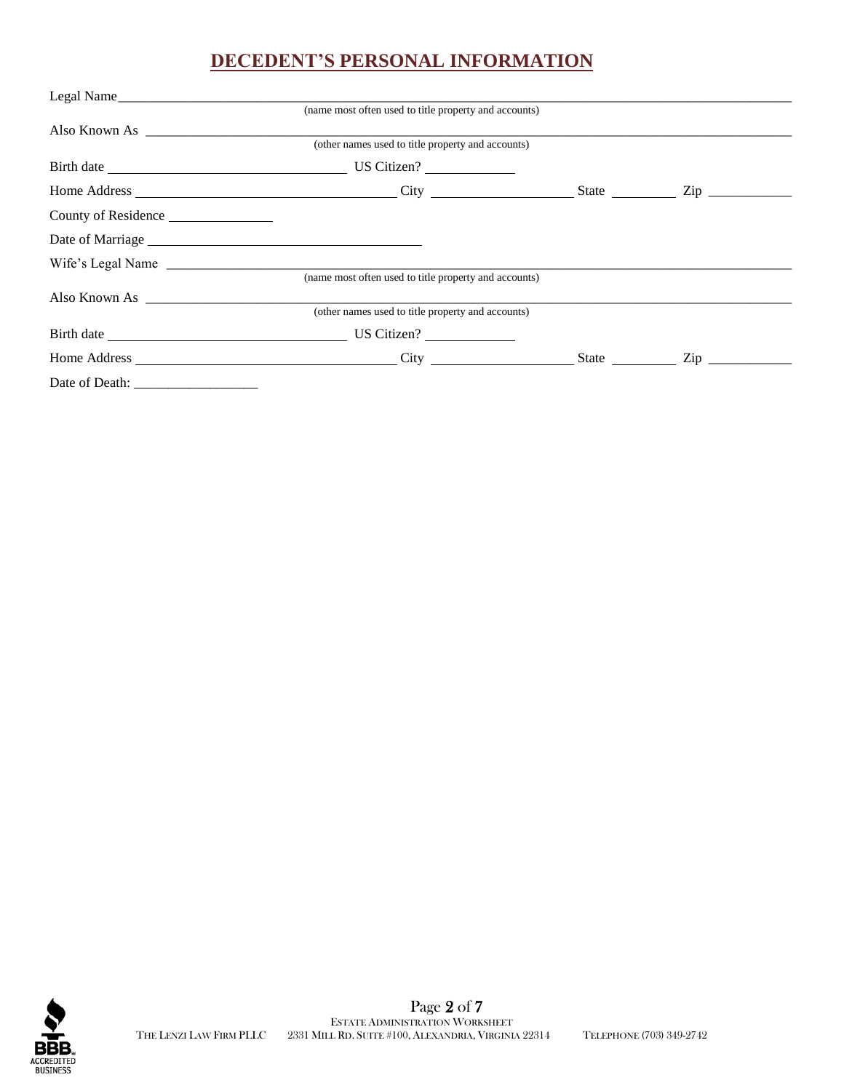# **DECEDENT'S PERSONAL INFORMATION**

| Legal Name          |                                                       |  |  |
|---------------------|-------------------------------------------------------|--|--|
|                     | (name most often used to title property and accounts) |  |  |
|                     |                                                       |  |  |
|                     | (other names used to title property and accounts)     |  |  |
|                     |                                                       |  |  |
|                     |                                                       |  |  |
| County of Residence |                                                       |  |  |
|                     |                                                       |  |  |
|                     |                                                       |  |  |
|                     | (name most often used to title property and accounts) |  |  |
| Also Known As       |                                                       |  |  |
|                     | (other names used to title property and accounts)     |  |  |
|                     |                                                       |  |  |
|                     |                                                       |  |  |
|                     |                                                       |  |  |

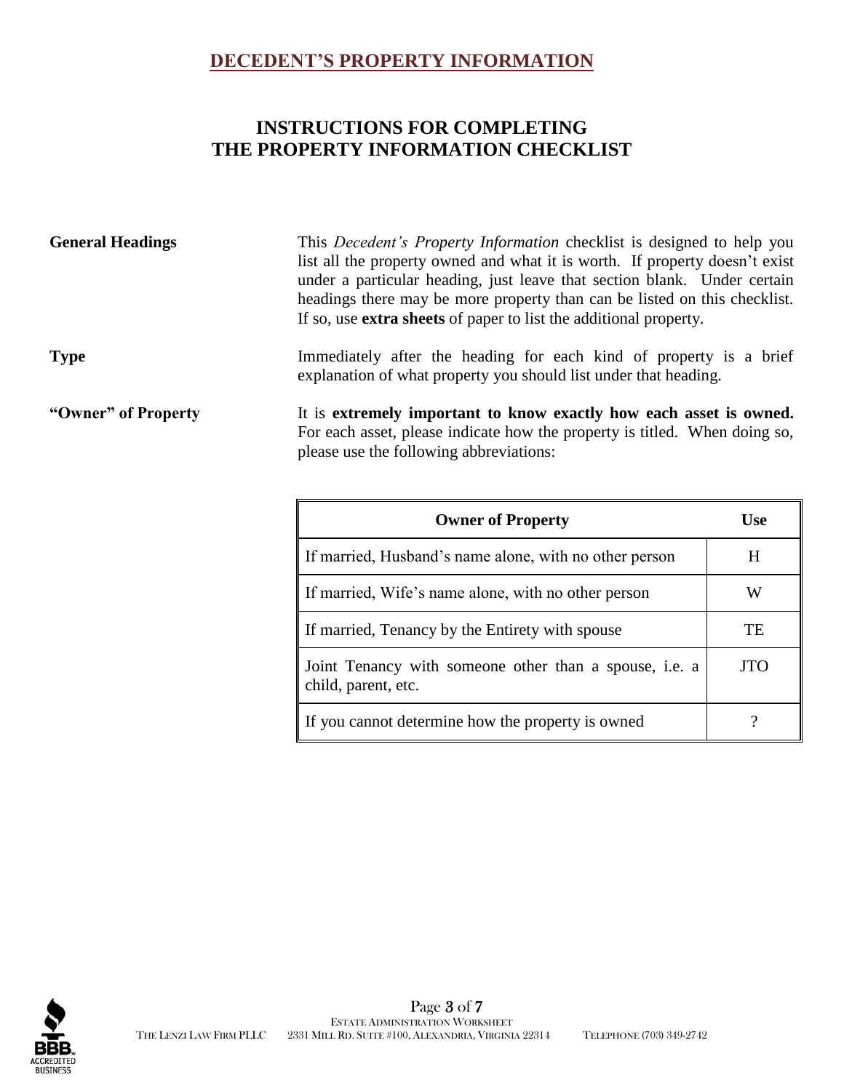#### **DECEDENT'S PROPERTY INFORMATION**

# **INSTRUCTIONS FOR COMPLETING THE PROPERTY INFORMATION CHECKLIST**

**General Headings** This *Decedent's Property Information* checklist is designed to help you list all the property owned and what it is worth. If property doesn't exist under a particular heading, just leave that section blank. Under certain headings there may be more property than can be listed on this checklist. If so, use **extra sheets** of paper to list the additional property.

#### **Type** Immediately after the heading for each kind of property is a brief explanation of what property you should list under that heading.

**"Owner" of Property** It is **extremely important to know exactly how each asset is owned.** For each asset, please indicate how the property is titled. When doing so, please use the following abbreviations:

| <b>Owner of Property</b>                                                      | Use        |
|-------------------------------------------------------------------------------|------------|
| If married, Husband's name alone, with no other person                        | H          |
| If married, Wife's name alone, with no other person                           | W          |
| If married, Tenancy by the Entirety with spouse                               | TE         |
| Joint Tenancy with someone other than a spouse, i.e. a<br>child, parent, etc. | <b>JTO</b> |
| If you cannot determine how the property is owned                             |            |

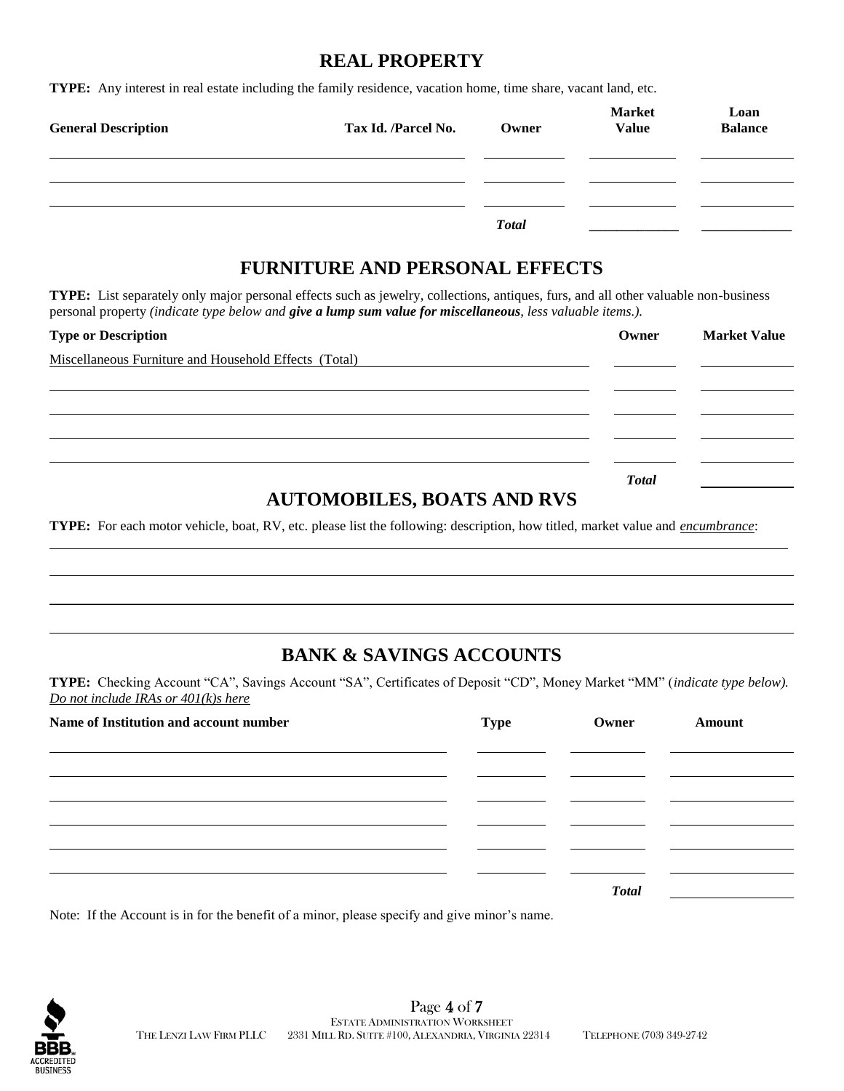#### **REAL PROPERTY**

**TYPE:** Any interest in real estate including the family residence, vacation home, time share, vacant land, etc.

| <b>General Description</b> | Tax Id. /Parcel No. | Owner        | <b>Market</b><br><b>Value</b> | Loan<br><b>Balance</b> |
|----------------------------|---------------------|--------------|-------------------------------|------------------------|
|                            |                     |              |                               |                        |
|                            |                     |              |                               |                        |
|                            |                     | <b>Total</b> |                               |                        |

#### **FURNITURE AND PERSONAL EFFECTS**

**TYPE:** List separately only major personal effects such as jewelry, collections, antiques, furs, and all other valuable non-business personal property *(indicate type below and give a lump sum value for miscellaneous, less valuable items.).*

| <b>Type or Description</b>                                                                                           | Owner        | <b>Market Value</b> |
|----------------------------------------------------------------------------------------------------------------------|--------------|---------------------|
| Miscellaneous Furniture and Household Effects (Total)                                                                |              |                     |
|                                                                                                                      |              |                     |
|                                                                                                                      |              |                     |
|                                                                                                                      |              |                     |
|                                                                                                                      |              |                     |
|                                                                                                                      | <b>Total</b> |                     |
| $\mathbf{r}$ , and $\mathbf{r}$ and $\mathbf{r}$ and $\mathbf{r}$ and $\mathbf{r}$ and $\mathbf{r}$ and $\mathbf{r}$ |              |                     |

# **AUTOMOBILES, BOATS AND RVS**

**TYPE:** For each motor vehicle, boat, RV, etc. please list the following: description, how titled, market value and *encumbrance*:

# **BANK & SAVINGS ACCOUNTS**

**TYPE:** Checking Account "CA", Savings Account "SA", Certificates of Deposit "CD", Money Market "MM" (*indicate type below). Do not include IRAs or 401(k)s here*

| Name of Institution and account number | Type | Owner        | Amount |
|----------------------------------------|------|--------------|--------|
|                                        |      |              |        |
|                                        |      |              |        |
|                                        |      |              |        |
|                                        |      |              |        |
|                                        |      | <b>Total</b> |        |

Note: If the Account is in for the benefit of a minor, please specify and give minor's name.

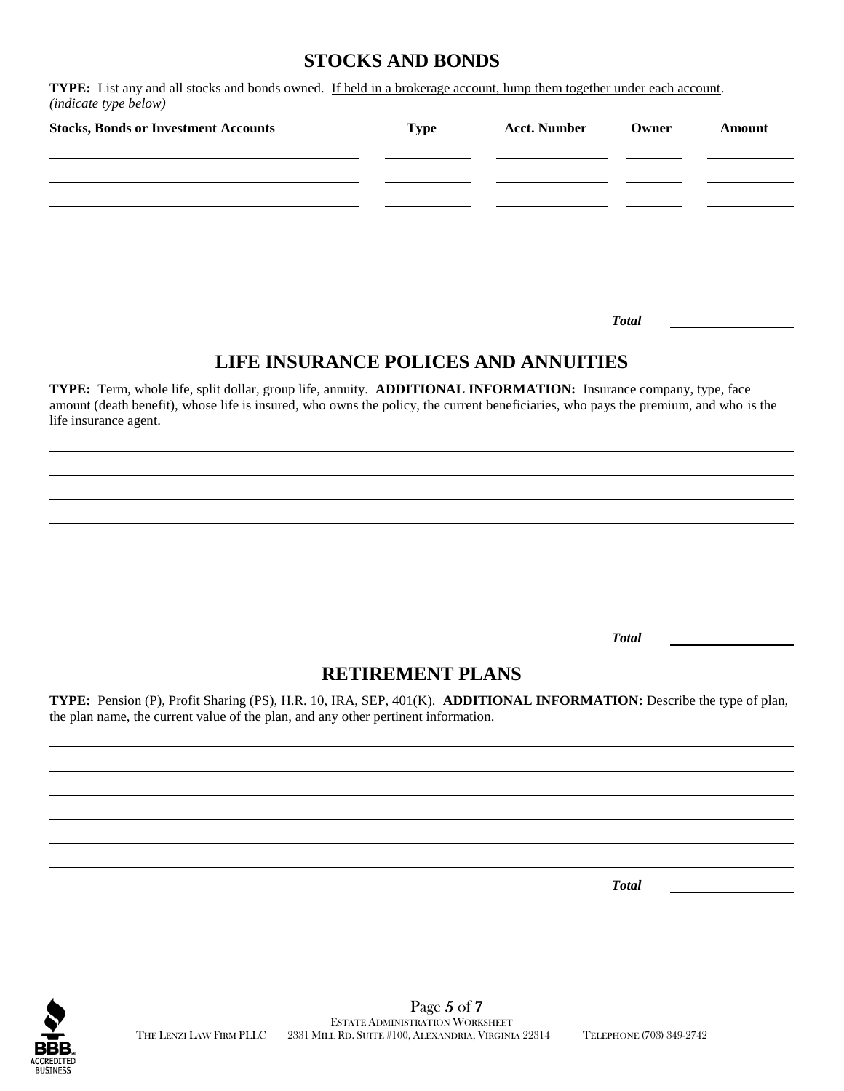#### **STOCKS AND BONDS**

**TYPE:** List any and all stocks and bonds owned. If held in a brokerage account, lump them together under each account. *(indicate type below)*

| <b>Stocks, Bonds or Investment Accounts</b> | <b>Type</b> | <b>Acct. Number</b> | Owner        | Amount |
|---------------------------------------------|-------------|---------------------|--------------|--------|
|                                             |             |                     |              |        |
|                                             |             |                     |              |        |
|                                             |             |                     |              |        |
|                                             |             |                     |              |        |
|                                             |             |                     | <b>Total</b> |        |

#### **LIFE INSURANCE POLICES AND ANNUITIES**

**TYPE:** Term, whole life, split dollar, group life, annuity. **ADDITIONAL INFORMATION:** Insurance company, type, face amount (death benefit), whose life is insured, who owns the policy, the current beneficiaries, who pays the premium, and who is the life insurance agent.

*Total*

# **RETIREMENT PLANS**

**TYPE:** Pension (P), Profit Sharing (PS), H.R. 10, IRA, SEP, 401(K). **ADDITIONAL INFORMATION:** Describe the type of plan, the plan name, the current value of the plan, and any other pertinent information.

*Total*

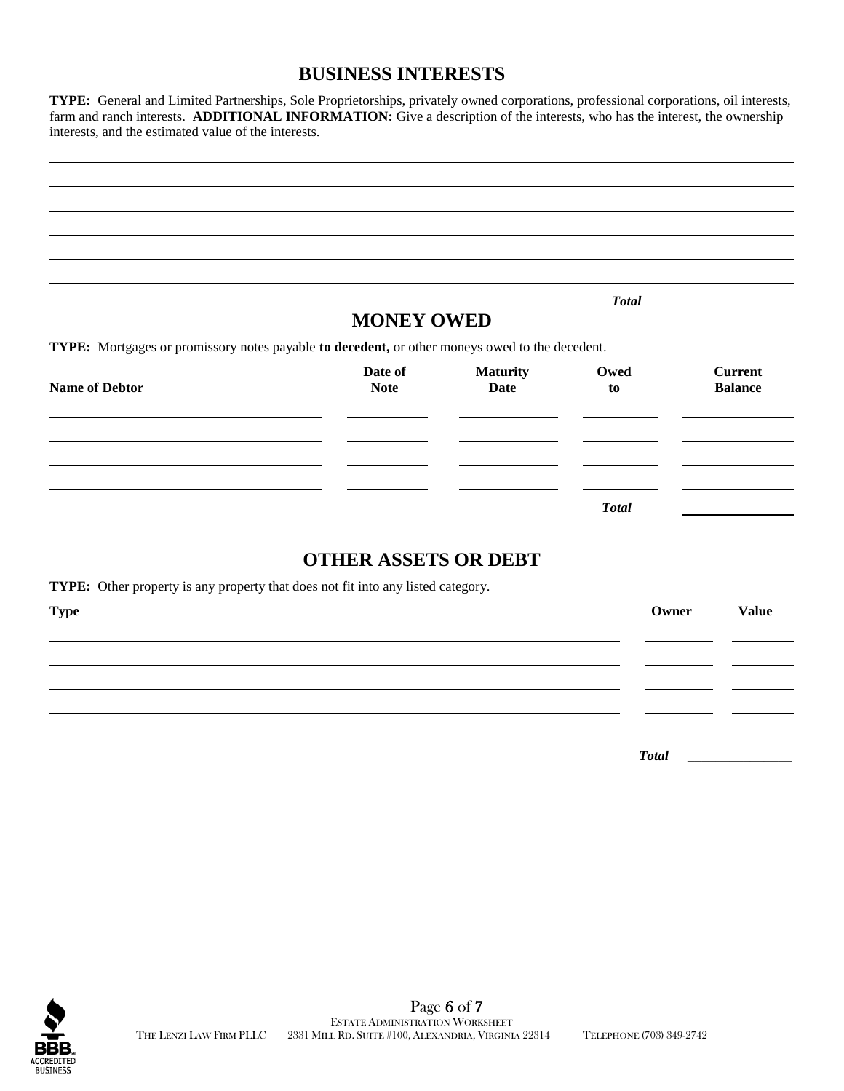#### **BUSINESS INTERESTS**

**TYPE:** General and Limited Partnerships, Sole Proprietorships, privately owned corporations, professional corporations, oil interests, farm and ranch interests. **ADDITIONAL INFORMATION:** Give a description of the interests, who has the interest, the ownership interests, and the estimated value of the interests.

|                                                                                                |                             |                 | <b>Total</b> |                |
|------------------------------------------------------------------------------------------------|-----------------------------|-----------------|--------------|----------------|
|                                                                                                | <b>MONEY OWED</b>           |                 |              |                |
| TYPE: Mortgages or promissory notes payable to decedent, or other moneys owed to the decedent. | Date of                     | <b>Maturity</b> | Owed         | <b>Current</b> |
| <b>Name of Debtor</b>                                                                          | <b>Note</b>                 | <b>Date</b>     | to           | <b>Balance</b> |
|                                                                                                |                             |                 |              |                |
|                                                                                                |                             |                 |              |                |
|                                                                                                |                             |                 |              |                |
|                                                                                                |                             |                 | <b>Total</b> |                |
|                                                                                                |                             |                 |              |                |
|                                                                                                | <b>OTHER ASSETS OR DEBT</b> |                 |              |                |
| TYPE: Other property is any property that does not fit into any listed category.               |                             |                 |              |                |
| <b>Type</b>                                                                                    |                             |                 | Owner        | <b>Value</b>   |



*Total* **\_\_\_\_\_\_\_\_\_\_\_\_\_\_\_**

 $\mathbb{Z}$  $\sim$ 

 $\sim$